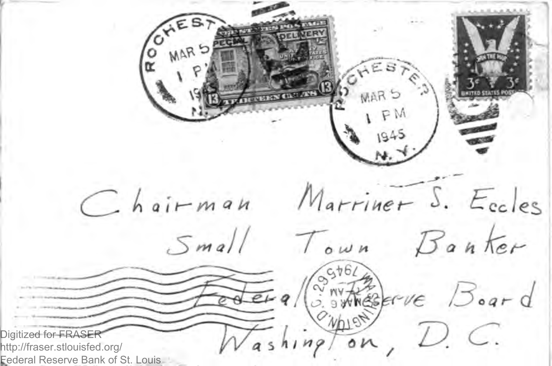R MARS SHES MAR S Chairman Marriner S. Eccles Small Town Banker JELA (SANTAGEFINE Board  $n_{\mathcal{P}}$  on  $D$ .  $C$ . Digitized for FRA http://fraser.stlouisfed.org/ Federal Reserve Bank of St. Louis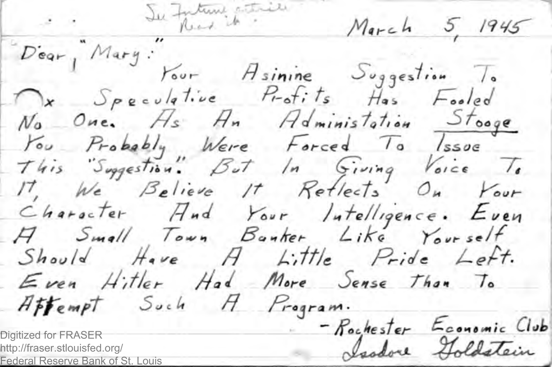Dear, Mary: Your Asinine Suggestion To Ox Speculative Profits Has Fooled No One. Hs An Administation Stooge You Probably Were Forced To Issue This Supportion. But In Giving Voice To IT, We Believe It Retlects On Your Character Hnd Your Intelligence. Even H Small Town Bonker, Like Yourself Should Have A Little Pride Lett. Even Hitler Had More Sense Than To Affempt Such A Program. - Rochester Economic Club Digitized for FRASER Isodore Holdstein http://fraser.stlouisfed.org/

Federal Reserve Bank of St Louis